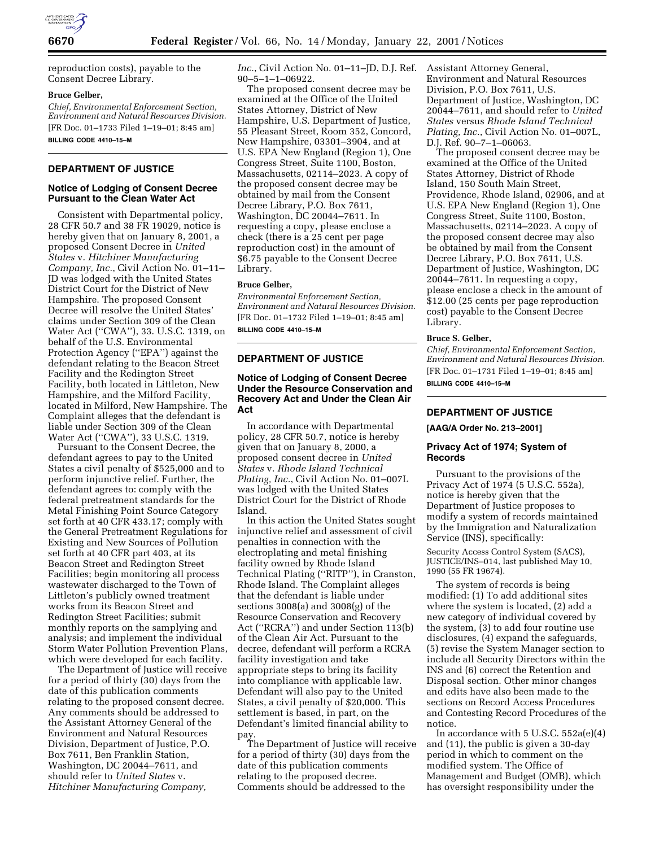

reproduction costs), payable to the Consent Decree Library.

### **Bruce Gelber,**

*Chief, Environmental Enforcement Section, Environment and Natural Resources Division.* [FR Doc. 01–1733 Filed 1–19–01; 8:45 am] **BILLING CODE 4410–15–M**

# **DEPARTMENT OF JUSTICE**

## **Notice of Lodging of Consent Decree Pursuant to the Clean Water Act**

Consistent with Departmental policy, 28 CFR 50.7 and 38 FR 19029, notice is hereby given that on January 8, 2001, a proposed Consent Decree in *United States* v. *Hitchiner Manufacturing Company, Inc.*, Civil Action No. 01–11– JD was lodged with the United States District Court for the District of New Hampshire. The proposed Consent Decree will resolve the United States' claims under Section 309 of the Clean Water Act (''CWA''), 33. U.S.C. 1319, on behalf of the U.S. Environmental Protection Agency (''EPA'') against the defendant relating to the Beacon Street Facility and the Redington Street Facility, both located in Littleton, New Hampshire, and the Milford Facility, located in Milford, New Hampshire. The Complaint alleges that the defendant is liable under Section 309 of the Clean Water Act (''CWA''), 33 U.S.C. 1319.

Pursuant to the Consent Decree, the defendant agrees to pay to the United States a civil penalty of \$525,000 and to perform injunctive relief. Further, the defendant agrees to: comply with the federal pretreatment standards for the Metal Finishing Point Source Category set forth at 40 CFR 433.17; comply with the General Pretreatment Regulations for Existing and New Sources of Pollution set forth at 40 CFR part 403, at its Beacon Street and Redington Street Facilities; begin monitoring all process wastewater discharged to the Town of Littleton's publicly owned treatment works from its Beacon Street and Redington Street Facilities; submit monthly reports on the samplying and analysis; and implement the individual Storm Water Pollution Prevention Plans, which were developed for each facility.

The Department of Justice will receive for a period of thirty (30) days from the date of this publication comments relating to the proposed consent decree. Any comments should be addressed to the Assistant Attorney General of the Environment and Natural Resources Division, Department of Justice, P.O. Box 7611, Ben Franklin Station, Washington, DC 20044–7611, and should refer to *United States* v. *Hitchiner Manufacturing Company,*

*Inc.*, Civil Action No. 01–11–JD, D.J. Ref. 90–5–1–1–06922.

The proposed consent decree may be examined at the Office of the United States Attorney, District of New Hampshire, U.S. Department of Justice, 55 Pleasant Street, Room 352, Concord, New Hampshire, 03301–3904, and at U.S. EPA New England (Region 1), One Congress Street, Suite 1100, Boston, Massachusetts, 02114–2023. A copy of the proposed consent decree may be obtained by mail from the Consent Decree Library, P.O. Box 7611, Washington, DC 20044–7611. In requesting a copy, please enclose a check (there is a 25 cent per page reproduction cost) in the amount of \$6.75 payable to the Consent Decree Library.

#### **Bruce Gelber,**

*Environmental Enforcement Section, Environment and Natural Resources Division.* [FR Doc. 01–1732 Filed 1–19–01; 8:45 am] **BILLING CODE 4410–15–M**

# **DEPARTMENT OF JUSTICE**

# **Notice of Lodging of Consent Decree Under the Resource Conservation and Recovery Act and Under the Clean Air Act**

In accordance with Departmental policy, 28 CFR 50.7, notice is hereby given that on January 8, 2000, a proposed consent decree in *United States* v. *Rhode Island Technical Plating, Inc.*, Civil Action No. 01–007L was lodged with the United States District Court for the District of Rhode Island.

In this action the United States sought injunctive relief and assessment of civil penalties in connection with the electroplating and metal finishing facility owned by Rhode Island Technical Plating (''RITP''), in Cranston, Rhode Island. The Complaint alleges that the defendant is liable under sections 3008(a) and 3008(g) of the Resource Conservation and Recovery Act (''RCRA'') and under Section 113(b) of the Clean Air Act. Pursuant to the decree, defendant will perform a RCRA facility investigation and take appropriate steps to bring its facility into compliance with applicable law. Defendant will also pay to the United States, a civil penalty of \$20,000. This settlement is based, in part, on the Defendant's limited financial ability to pay.

The Department of Justice will receive for a period of thirty (30) days from the date of this publication comments relating to the proposed decree. Comments should be addressed to the

Assistant Attorney General, Environment and Natural Resources Division, P.O. Box 7611, U.S. Department of Justice, Washington, DC 20044–7611, and should refer to *United States* versus *Rhode Island Technical Plating, Inc.*, Civil Action No. 01–007L, D.J. Ref. 90–7–1–06063.

The proposed consent decree may be examined at the Office of the United States Attorney, District of Rhode Island, 150 South Main Street, Providence, Rhode Island, 02906, and at U.S. EPA New England (Region 1), One Congress Street, Suite 1100, Boston, Massachusetts, 02114–2023. A copy of the proposed consent decree may also be obtained by mail from the Consent Decree Library, P.O. Box 7611, U.S. Department of Justice, Washington, DC 20044–7611. In requesting a copy, please enclose a check in the amount of \$12.00 (25 cents per page reproduction cost) payable to the Consent Decree Library.

#### **Bruce S. Gelber,**

*Chief, Environmental Enforcement Section, Environment and Natural Resources Division.* [FR Doc. 01–1731 Filed 1–19–01; 8:45 am] **BILLING CODE 4410–15–M**

# **DEPARTMENT OF JUSTICE**

**[AAG/A Order No. 213–2001]**

## **Privacy Act of 1974; System of Records**

Pursuant to the provisions of the Privacy Act of 1974 (5 U.S.C. 552a), notice is hereby given that the Department of Justice proposes to modify a system of records maintained by the Immigration and Naturalization Service (INS), specifically:

Security Access Control System (SACS), JUSTICE/INS–014, last published May 10, 1990 (55 FR 19674).

The system of records is being modified: (1) To add additional sites where the system is located, (2) add a new category of individual covered by the system, (3) to add four routine use disclosures, (4) expand the safeguards, (5) revise the System Manager section to include all Security Directors within the INS and (6) correct the Retention and Disposal section. Other minor changes and edits have also been made to the sections on Record Access Procedures and Contesting Record Procedures of the notice.

In accordance with 5 U.S.C. 552a(e)(4) and (11), the public is given a 30-day period in which to comment on the modified system. The Office of Management and Budget (OMB), which has oversight responsibility under the